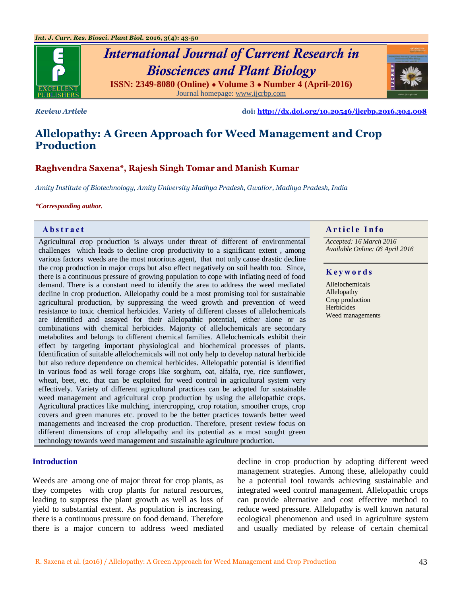

# *International Journal of Current Research in Biosciences and Plant Biology* **ISSN: 2349-8080 (Online) ● Volume 3 ● Number 4 (April-2016)** Journal homepage[: www.ijcrbp.com](http://www.ijcrbp.com/)

*Review Article* **doi:<http://dx.doi.org/10.20546/ijcrbp.2016.304.008>**

# **Allelopathy: A Green Approach for Weed Management and Crop Production**

# **Raghvendra Saxena\*, Rajesh Singh Tomar and Manish Kumar**

*Amity Institute of Biotechnology, Amity University Madhya Pradesh, Gwalior, Madhya Pradesh, India*

#### *\*Corresponding author.*

Agricultural crop production is always under threat of different of environmental challenges which leads to decline crop productivity to a significant extent , among various factors weeds are the most notorious agent, that not only cause drastic decline the crop production in major crops but also effect negatively on soil health too. Since, there is a continuous pressure of growing population to cope with inflating need of food demand. There is a constant need to identify the area to address the weed mediated decline in crop production. Allelopathy could be a most promising tool for sustainable agricultural production, by suppressing the weed growth and prevention of weed resistance to toxic chemical herbicides. Variety of different classes of allelochemicals are identified and assayed for their allelopathic potential, either alone or as combinations with chemical herbicides. Majority of allelochemicals are secondary metabolites and belongs to different chemical families. Allelochemicals exhibit their effect by targeting important physiological and biochemical processes of plants. Identification of suitable allelochemicals will not only help to develop natural herbicide but also reduce dependence on chemical herbicides. Allelopathic potential is identified in various food as well forage crops like sorghum, oat, alfalfa, rye, rice sunflower, wheat, beet, etc. that can be exploited for weed control in agricultural system very effectively. Variety of different agricultural practices can be adopted for sustainable weed management and agricultural crop production by using the allelopathic crops. Agricultural practices like mulching, intercropping, crop rotation, smoother crops, crop covers and green manures etc. proved to be the better practices towards better weed managements and increased the crop production. Therefore, present review focus on different dimensions of crop allelopathy and its potential as a most sought green technology towards weed management and sustainable agriculture production.

### **Introduction**

Weeds are among one of major threat for crop plants, as they competes with crop plants for natural resources, leading to suppress the plant growth as well as loss of yield to substantial extent. As population is increasing, there is a continuous pressure on food demand. Therefore there is a major concern to address weed mediated decline in crop production by adopting different weed management strategies. Among these, allelopathy could be a potential tool towards achieving sustainable and integrated weed control management. Allelopathic crops can provide alternative and cost effective method to reduce weed pressure. Allelopathy is well known natural ecological phenomenon and used in agriculture system and usually mediated by release of certain chemical

# **Abstract And a region of the Info**  $\alpha$  **Article Info**

*Accepted: 16 March 2016 Available Online: 06 April 2016*

#### **K e y w o r d s**

Allelochemicals Allelopathy Crop production Herbicides Weed managements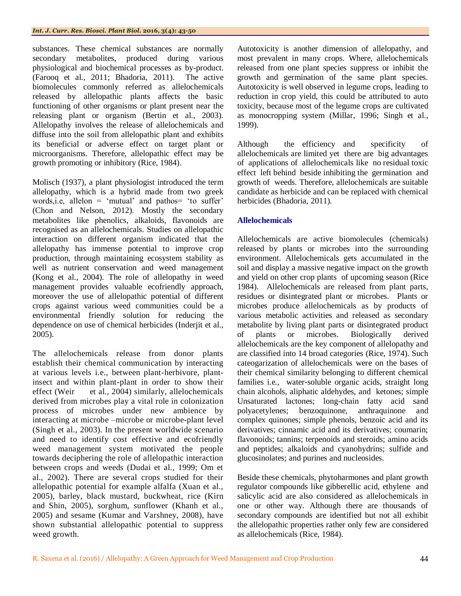substances. These chemical substances are normally secondary metabolites, produced during various physiological and biochemical processes as by-product. (Farooq et al., 2011; Bhadoria, 2011). The active biomolecules commonly referred as allelochemicals released by allelopathic plants affects the basic functioning of other organisms or plant present near the releasing plant or organism (Bertin et al., 2003). Allelopathy involves the release of allelochemicals and diffuse into the soil from allelopathic plant and exhibits its beneficial or adverse effect on target plant or microorganisms. Therefore, allelopathic effect may be growth promoting or inhibitory (Rice, 1984).

Molisch (1937), a plant physiologist introduced the term allelopathy, which is a hybrid made from two greek words, i.e, allelon = 'mutual' and pathos= 'to suffer' (Chon and Nelson, 2012). Mostly the secondary metabolites like phenolics, alkaloids, flavonoids are recognised as an allelochemicals. Studies on allelopathic interaction on different organism indicated that the allelopathy has immense potential to improve crop production, through maintaining ecosystem stability as well as nutrient conservation and weed management (Kong et al., 2004). The role of allelopathy in weed management provides valuable ecofriendly approach, moreover the use of allelopathic potential of different crops against various weed communities could be a environmental friendly solution for reducing the dependence on use of chemical herbicides (Inderjit et al., 2005).

The allelochemicals release from donor plants establish their chemical communication by interacting at various levels i.e., between plant-herbivore, plantinsect and within plant-plant in order to show their effect (Weir et al., 2004) similarly, allelochemicals derived from microbes play a vital role in colonization process of microbes under new ambience by interacting at microbe –microbe or microbe-plant level (Singh et al., 2003). In the present worldwide scenario and need to identify cost effective and ecofriendly weed management system motivated the people towards deciphering the role of allelopathic interaction between crops and weeds (Dudai et al., 1999; Om et al., 2002). There are several crops studied for their allelopathic potential for example alfalfa (Xuan et al., 2005), barley, black mustard, buckwheat, rice (Kirn and Shin, 2005), sorghum, sunflower (Khanh et al., 2005) and sesame (Kumar and Varshney, 2008), have shown substantial allelopathic potential to suppress weed growth.

Autotoxicity is another dimension of allelopathy, and most prevalent in many crops. Where, allelochemicals released from one plant species suppress or inhibit the growth and germination of the same plant species. Autotoxicity is well observed in legume crops, leading to reduction in crop yield, this could be attributed to auto toxicity, because most of the legume crops are cultivated as monocropping system (Millar, 1996; Singh et al., 1999).

Although the efficiency and specificity of allelochemicals are limited yet there are big advantages of applications of allelochemicals like no residual toxic effect left behind beside inhibiting the germination and growth of weeds. Therefore, allelochemicals are suitable candidate as herbicide and can be replaced with chemical herbicides (Bhadoria, 2011).

# **Allelochemicals**

Allelochemicals are active biomolecules (chemicals) released by plants or microbes into the surrounding environment. Allelochemicals gets accumulated in the soil and display a massive negative impact on the growth and yield on other crop plants of upcoming season (Rice 1984). Allelochemicals are released from plant parts, residues or disintegrated plant or microbes. Plants or microbes produce allelochemicals as by products of various metabolic activities and released as secondary metabolite by living plant parts or disintegrated product of plants or microbes. Biologically derived allelochemicals are the key component of allelopathy and are classified into 14 broad categories (Rice, 1974). Such cateogarization of allelochemicals were on the bases of their chemical similarity belonging to different chemical families i.e., water-soluble organic acids, straight long chain alcohols, aliphatic aldehydes, and ketones; simple Unsaturated lactones; long-chain fatty acid sand polyacetylenes; benzoquinone, anthraquinone and complex quinones; simple phenols, benzoic acid and its derivatives; cinnamic acid and its derivatives; coumarin; flavonoids; tannins; terpenoids and steroids; amino acids and peptides; alkaloids and cyanohydrins; sulfide and glucosinolates; and purines and nucleosides.

Beside these chemicals, phytoharmones and plant growth regulator compounds like gibberellic acid, ethylene and salicylic acid are also considered as allelochemicals in one or other way. Although there are thousands of secondary compounds are identified but not all exhibit the allelopathic properties rather only few are considered as allelochemicals (Rice, 1984).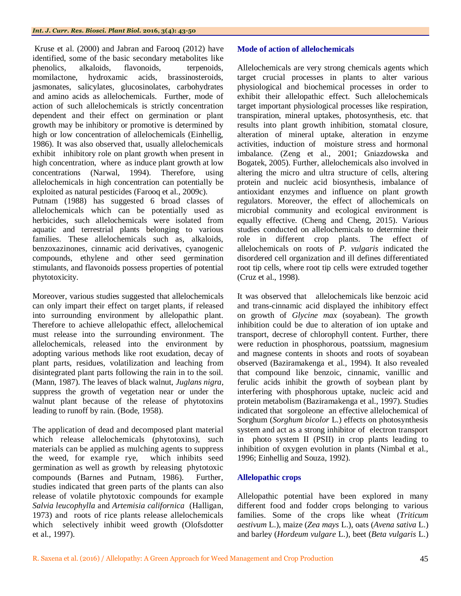Kruse et al. (2000) and Jabran and Farooq (2012) have identified, some of the basic secondary metabolites like phenolics, alkaloids, flavonoids, terpenoids, momilactone, hydroxamic acids, brassinosteroids, jasmonates, salicylates, glucosinolates, carbohydrates and amino acids as allelochemicals. Further, mode of action of such allelochemicals is strictly concentration dependent and their effect on germination or plant growth may be inhibitory or promotive is determined by high or low concentration of allelochemicals (Einhellig, 1986). It was also observed that, usually allelochemicals exhibit inhibitory role on plant growth when present in high concentration, where as induce plant growth at low concentrations (Narwal, 1994). Therefore, using allelochemicals in high concentration can potentially be exploited as natural pesticides (Farooq et al., 2009c). Putnam (1988) has suggested 6 broad classes of allelochemicals which can be potentially used as herbicides, such allelochemicals were isolated from aquatic and terrestrial plants belonging to various families. These allelochemicals such as, alkaloids, benzoxazinones, cinnamic acid derivatives, cyanogenic

compounds, ethylene and other seed germination stimulants, and flavonoids possess properties of potential phytotoxicity.

Moreover, various studies suggested that allelochemicals can only impart their effect on target plants, if released into surrounding environment by allelopathic plant. Therefore to achieve allelopathic effect, allelochemical must release into the surrounding environment. The allelochemicals, released into the environment by adopting various methods like root exudation, decay of plant parts, residues, volatilization and leaching from disintegrated plant parts following the rain in to the soil. (Mann, 1987). The leaves of black walnut, *Juglans nigra*, suppress the growth of vegetation near or under the walnut plant because of the release of phytotoxins leading to runoff by rain. (Bode, 1958).

The application of dead and decomposed plant material which release allelochemicals (phytotoxins), such materials can be applied as mulching agents to suppress the weed, for example rye, which inhibits seed germination as well as growth by releasing phytotoxic compounds (Barnes and Putnam, 1986). Further, studies indicated that green parts of the plants can also release of volatile phytotoxic compounds for example *Salvia leucophylla* and *Artemisia californica* (Halligan, 1973) and roots of rice plants release allelochemicals which selectively inhibit weed growth (Olofsdotter et al., 1997).

### **Mode of action of allelochemicals**

Allelochemicals are very strong chemicals agents which target crucial processes in plants to alter various physiological and biochemical processes in order to exhibit their allelopathic effect. Such allelochemicals target important physiological processes like respiration, transpiration, mineral uptakes, photosynthesis, etc. that results into plant growth inhibition, stomatal closure, alteration of mineral uptake, alteration in enzyme activities, induction of moisture stress and hormonal imbalance. (Zeng et al., 2001; Gniazdowska and Bogatek, 2005). Further, allelochemicals also involved in altering the micro and ultra structure of cells, altering protein and nucleic acid biosynthesis, imbalance of antioxidant enzymes and influence on plant growth regulators. Moreover, the effect of allochemicals on microbial community and ecological environment is equally effective. (Cheng and Cheng, 2015). Various studies conducted on allelochemicals to determine their role in different crop plants. The effect of allelochemicals on roots of *P*. *vulgaris* indicated the disordered cell organization and ill defines differentiated root tip cells, where root tip cells were extruded together (Cruz et al., 1998).

It was observed that allelochemicals like benzoic acid and trans-cinnamic acid displayed the inhibitory effect on growth of *Glycine max* (soyabean). The growth inhibition could be due to alteration of ion uptake and transport, decrese of chlorophyll content. Further, there were reduction in phosphorous, poatssium, magnesium and magnese contents in shoots and roots of soyabean observed (Baziramakenga et al., 1994). It also revealed that compound like benzoic, cinnamic, vanillic and ferulic acids inhibit the growth of soybean plant by interfering with phosphorous uptake, nucleic acid and protein metabolism (Baziramakenga et al., 1997). Studies indicated that sorgoleone an effective allelochemical of Sorghum (*Sorghum bicolor* L.) effects on photosynthesis system and act as a strong inhibitor of electron transport in photo system II (PSII) in crop plants leading to inhibition of oxygen evolution in plants (Nimbal et al., 1996; Einhellig and Souza, 1992).

## **Allelopathic crops**

Allelopathic potential have been explored in many different food and fodder crops belonging to various families. Some of the crops like wheat (*Triticum aestivum* L.), maize (*Zea mays* L.), oats (*Avena sativa* L.) and barley (*Hordeum vulgare* L.), beet (*Beta vulgaris* L.)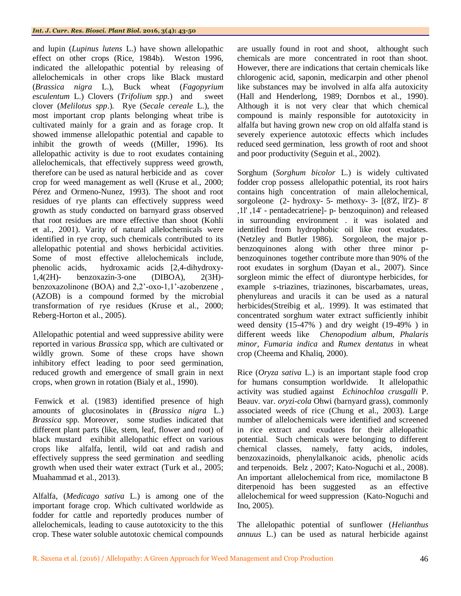and lupin (*Lupinus lutens* L.) have shown allelopathic effect on other crops (Rice, 1984b). Weston 1996, indicated the allelopathic potential by releasing of allelochemicals in other crops like Black mustard (*Brassica nigra* L.), Buck wheat (*Fagopyrium esculentum* L.) Clovers (*Trifolium spp.*)and sweet clover (*Melilotus spp*.). Rye (*Secale cereale* L.), the most important crop plants belonging wheat tribe is cultivated mainly for a grain and as forage crop. It showed immense allelopathic potential and capable to inhibit the growth of weeds ((Miller, 1996). Its allelopathic activity is due to root exudates containing allelochemicals, that effectively suppress weed growth, therefore can be used as natural herbicide and as cover crop for weed management as well (Kruse et al., 2000; Pérez and Ormeno-Nunez, 1993). The shoot and root residues of rye plants can effectively suppress weed growth as study conducted on barnyard grass observed that root residues are more effective than shoot (Kohli et al., 2001). Varity of natural allelochemicals were identified in rye crop, such chemicals contributed to its allelopathic potential and shows herbicidal activities. Some of most effective allelochemicals include, phenolic acids, hydroxamic acids [2,4-dihydroxy-1,4(2H)- benzoxazin-3-one (DIBOA), 2(3H) benzoxazolinone (BOA) and 2,2'-oxo-1,1'-azobenzene , (AZOB) is a compound formed by the microbial transformation of rye residues (Kruse et al., 2000; Reberg-Horton et al., 2005).

Allelopathic potential and weed suppressive ability were reported in various *Brassica* spp, which are cultivated or wildly grown. Some of these crops have shown inhibitory effect leading to poor seed germination, reduced growth and emergence of small grain in next crops, when grown in rotation (Bialy et al., 1990).

Fenwick et al. (1983) identified presence of high amounts of glucosinolates in (*Brassica nigra* L.) *Brassica* spp. Moreover, some studies indicated that different plant parts (like, stem, leaf, flower and root) of black mustard exihibit allelopathic effect on various crops like alfalfa, lentil, wild oat and radish and effectively suppress the seed germination and seedling growth when used their water extract (Turk et al., 2005; Muahammad et al., 2013).

Alfalfa, (*Medicago sativa* L.) is among one of the important forage crop. Which cultivated worldwide as fodder for cattle and reportedly produces number of allelochemicals, leading to cause autotoxicity to the this crop. These water soluble autotoxic chemical compounds

are usually found in root and shoot, althought such chemicals are more concentrated in root than shoot. However, there are indications that certain chemicals like chlorogenic acid, saponin, medicarpin and other phenol like substances may be involved in alfa alfa autoxicity (Hall and Henderlong, 1989; Dornbos et al., 1990). Although it is not very clear that which chemical compound is mainly responsible for autotoxicity in alfalfa but having grown new crop on old alfalfa stand is severely experience autotoxic effects which includes reduced seed germination, less growth of root and shoot and poor productivity (Seguin et al., 2002).

Sorghum (*Sorghum bicolor* L.) is widely cultivated fodder crop possess allelopathic potential, its root hairs contains high concentration of main allelochemical, sorgoleone (2- hydroxy- 5- methoxy- 3- [(8'Z, ll'Z)- 8' ,1l' ,14' - pentadecatriene]- p- benzoquinon) and released in surrounding environment . it was isolated and identified from hydrophobic oil like root exudates. (Netzley and Butler 1986). Sorgoleon, the major pbenzoquinones along with other three minor pbenzoquinones together contribute more than 90% of the root exudates in sorghum (Dayan et al., 2007). Since sorgleon mimic the effect of diurontype herbicides, for example *s*-triazines, triazinones, biscarbamates, ureas, phenylureas and uracils it can be used as a natural herbicides(Streibig et al,. 1999). It was estimated that concentrated sorghum water extract sufficiently inhibit weed density (15-47% ) and dry weight (19-49% ) in different weeds like *Chenopodium album*, *Phalaris minor*, *Fumaria indica* and *Rumex dentatus* in wheat crop (Cheema and Khaliq, 2000).

Rice (*Oryza sativa* L.) is an important staple food crop for humans consumption worldwide. It allelopathic activity was studied against *Echinochloa crusgalli* P. Beauv. var. *oryzi-cola* Ohwi (barnyard grass), commonly associated weeds of rice (Chung et al., 2003). Large number of allelochemicals were identified and screened in rice extract and exudates for their allelopathic potential. Such chemicals were belonging to different chemical classes, namely, fatty acids, indoles, benzoxazinoids, phenylalkanoic acids, phenolic acids and terpenoids. Belz , 2007; Kato-Noguchi et al., 2008). An important allelochemical from rice, momilactone B diterpenoid has been suggested as an effective allelochemical for weed suppression (Kato-Noguchi and Ino, 2005).

The allelopathic potential of sunflower (*Helianthus annuus* L.) can be used as natural herbicide against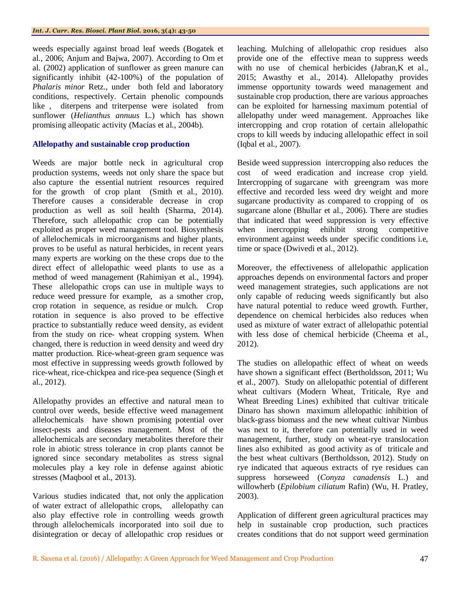weeds especially against broad leaf weeds (Bogatek et al., 2006; Anjum and Bajwa, 2007). According to Om et al. (2002) application of sunflower as green manure can significantly inhibit (42-100%) of the population of *Phalaris minor* Retz., under both feld and laboratory conditions, respectively. Certain phenolic compounds like , diterpens and triterpense were isolated from sunflower (*Helianthus annuus* L.) which has shown promising alleopatic activity (Macías et al., 2004b).

## **Allelopathy and sustainable crop production**

Weeds are major bottle neck in agricultural crop production systems, weeds not only share the space but also capture the essential nutrient resources required for the growth of crop plant (Smith et al., 2010). Therefore causes a considerable decrease in crop production as well as soil health (Sharma, 2014). Therefore, such allelopathic crop can be potentially exploited as proper weed management tool. Biosynthesis of allelochemicals in microorganisms and higher plants, proves to be useful as natural herbicides, in recent years many experts are working on the these crops due to the direct effect of allelopathic weed plants to use as a method of weed management (Rahimiyan et al., 1994). These allelopathic crops can use in multiple ways to reduce weed pressure for example, as a smother crop, crop rotation in sequence, as residue or mulch. Crop rotation in sequence is also proved to be effective practice to substantially reduce weed density, as evident from the study on rice- wheat cropping system. When changed, there is reduction in weed density and weed dry matter production. Rice-wheat-green gram sequence was most effective in suppressing weeds growth followed by rice-wheat, rice-chickpea and rice-pea sequence (Singh et al., 2012).

Allelopathy provides an effective and natural mean to control over weeds, beside effective weed management allelochemicals have shown promising potential over insect-pests and diseases management. Most of the allelochemicals are secondary metabolites therefore their role in abiotic stress tolerance in crop plants cannot be ignored since secondary metabolites as stress signal molecules play a key role in defense against abiotic stresses (Maqbool et al., 2013).

Various studies indicated that, not only the application of water extract of allelopathic crops, allelopathy can also play effective role in controlling weeds growth through allelochemicals incorporated into soil due to disintegration or decay of allelopathic crop residues or

leaching. Mulching of allelopathic crop residues also provide one of the effective mean to suppress weeds with no use of chemical herbicides (Jabran, K et al., 2015; Awasthy et al., 2014). Allelopathy provides immense opportunity towards weed management and sustainable crop production, there are various approaches can be exploited for harnessing maximum potential of allelopathy under weed management. Approaches like intercropping and crop rotation of certain allelopathic crops to kill weeds by inducing allelopathic effect in soil (Iqbal et al., 2007).

Beside weed suppression intercropping also reduces the cost of weed eradication and increase crop yield. Intercropping of sugarcane with greengram was more effective and recorded less weed dry weight and more sugarcane productivity as compared to cropping of os sugarcane alone (Bhullar et al., 2006). There are studies that indicated that weed suppression is very effective when inercropping ehihibit strong competitive environment against weeds under specific conditions i.e, time or space (Dwivedi et al., 2012).

Moreover, the effectiveness of allelopathic application approaches depends on environmental factors and proper weed management strategies, such applications are not only capable of reducing weeds significantly but also have natural potential to reduce weed growth. Further, dependence on chemical herbicides also reduces when used as mixture of water extract of allelopathic potential with less dose of chemical herbicide (Cheema et al., 2012).

The studies on allelopathic effect of wheat on weeds have shown a significant effect (Bertholdsson, 2011; Wu et al., 2007). Study on allelopathic potential of different wheat cultivars (Modern Wheat, Triticale, Rye and Wheat Breeding Lines) exhibited that cultivar triticale Dinaro has shown maximum allelopathic inhibition of black-grass biomass and the new wheat cultivar Nimbus was next to it, therefore can potentially used in weed management, further, study on wheat-rye translocation lines also exhibited as good activity as of triticale and the best wheat cultivars (Bertholdsson, 2012). Study on rye indicated that aqueous extracts of rye residues can suppress horseweed (*Conyza canadensis* L.) and willowherb (*Epilobium ciliatum* Rafin) (Wu, H. Pratley, 2003).

Application of different green agricultural practices may help in sustainable crop production, such practices creates conditions that do not support weed germination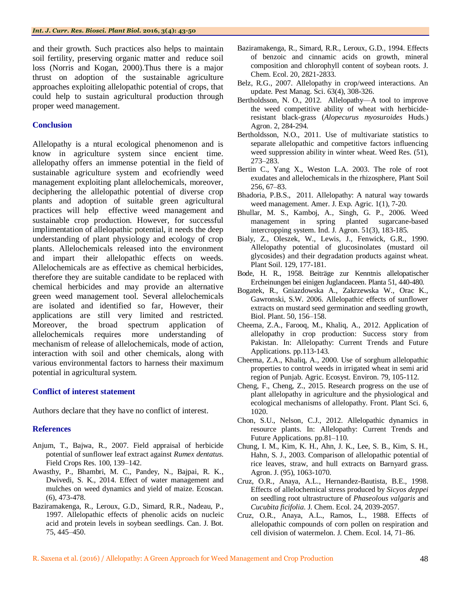and their growth. Such practices also helps to maintain soil fertility, preserving organic matter and reduce soil loss (Norris and Kogan, 2000).Thus there is a major thrust on adoption of the sustainable agriculture approaches exploiting allelopathic potential of crops, that could help to sustain agricultural production through proper weed management.

#### **Conclusion**

Allelopathy is a ntural ecological phenomenon and is know in agriculture system since encient time. allelopathy offers an immense potential in the field of sustainable agriculture system and ecofriendly weed management exploiting plant allelochemicals, moreover, deciphering the allelopathic potential of diverse crop plants and adoption of suitable green agricultural practices will help effective weed management and sustainable crop production. However, for successful implimentation of allelopathic potential, it needs the deep understanding of plant physiology and ecology of crop plants. Allelochemicals released into the environment and impart their allelopathic effects on weeds. Allelochemicals are as effective as chemical herbicides, therefore they are suitable candidate to be replaced with chemical herbicides and may provide an alternative green weed management tool. Several allelochemicals are isolated and identified so far, However, their applications are still very limited and restricted. Moreover, the broad spectrum application of allelochemicals requires more understanding of mechanism of release of allelochemicals, mode of action, interaction with soil and other chemicals, along with various environmental factors to harness their maximum potential in agricultural system.

#### **Conflict of interest statement**

Authors declare that they have no conflict of interest.

#### **References**

- Anjum, T., Bajwa, R., 2007. Field appraisal of herbicide potential of sunflower leaf extract against *Rumex dentatus*. Field Crops Res. 100, 139–142.
- Awasthy, P., Bhambri, M. C., Pandey, N., Bajpai, R. K., Dwivedi, S. K., 2014. Effect of water management and mulches on weed dynamics and yield of maize. Ecoscan. (6), 473-478.
- Baziramakenga, R., Leroux, G.D., Simard, R.R., Nadeau, P., 1997. Allelopathic effects of phenolic acids on nucleic acid and protein levels in soybean seedlings. Can. J. Bot. 75, 445–450.
- Baziramakenga, R., Simard, R.R., Leroux, G.D., 1994. Effects of benzoic and cinnamic acids on growth, mineral composition and chlorophyll content of soybean roots. J. Chem. Ecol. 20, 2821-2833.
- Belz, R.G., 2007. Allelopathy in crop/weed interactions. An update. Pest Manag. Sci. 63(4), 308-326.
- Bertholdsson, N. O., 2012. Allelopathy—A tool to improve the weed competitive ability of wheat with herbicideresistant black-grass (*Alopecurus myosuroides* Huds.) Agron. 2, 284-294.
- Bertholdsson, N.O., 2011. Use of multivariate statistics to separate allelopathic and competitive factors influencing weed suppression ability in winter wheat. Weed Res. (51), 273–283.
- Bertin C., Yang X., Weston L.A. 2003. The role of root exudates and allelochemicals in the rhizosphere, Plant Soil 256, 67–83.
- Bhadoria, P.B.S., 2011. Allelopathy: A natural way towards weed management. Amer. J. Exp. Agric. 1(1), 7-20*.*
- Bhullar, M. S., Kamboj, A., Singh, G. P., 2006. Weed management in spring planted sugarcane-based intercropping system. Ind. J. Agron. 51(3), 183-185.
- Bialy, Z., Oleszek, W., Lewis, J., Fenwick, G.R., 1990. Allelopathy potential of glucosinolates (mustard oil glycosides) and their degradation products against wheat. Plant Soil. 129, 177-181.
- Bode, H. R., 1958. Beiträge zur Kenntnis allelopatischer Ercheinungen bei einigen Juglandaceen. Planta 51, 440-480.
- Bogatek, R., Gniazdowska A., Zakrzewska W., Orac K., Gawronski, S.W. 2006. Allelopathic effects of sunflower extracts on mustard seed germination and seedling growth, Biol. Plant. 50, 156–158.
- Cheema, Z.A., Farooq, M., Khaliq, A., 2012. Application of allelopathy in crop production: Success story from Pakistan. In: Allelopathy: Current Trends and Future Applications. pp.113-143.
- Cheema, Z.A., Khaliq, A., 2000. Use of sorghum allelopathic properties to control weeds in irrigated wheat in semi arid region of Punjab. Agric. Ecosyst. Environ. 79, 105-112.
- Cheng, F., Cheng, Z., 2015. Research progress on the use of plant allelopathy in agriculture and the physiological and ecological mechanisms of allelopathy. Front. Plant Sci. 6, 1020.
- Chon, S.U., Nelson, C.J., 2012. Allelopathic dynamics in resource plants. In: Allelopathy: Current Trends and Future Applications. pp.81–110.
- Chung, I. M., Kim, K. H., Ahn, J. K., Lee, S. B., Kim, S. H., Hahn, S. J., 2003. Comparison of allelopathic potential of rice leaves, straw, and hull extracts on Barnyard grass. Agron. J. (95), 1063-1070.
- Cruz, O.R., Anaya, A.L., Hernandez-Bautista, B.E., 1998. Effects of allelochemical stress produced by *Sicyos deppei* on seedling root ultrastructure of *Phaseolous valgaris* and *Cucubita ficifolia*. J. Chem. Ecol. 24, 2039-2057.
- Cruz, O.R., Anaya, A.L., Ramos, L., 1988. Effects of allelopathic compounds of corn pollen on respiration and cell division of watermelon. J. Chem. Ecol. 14, 71–86.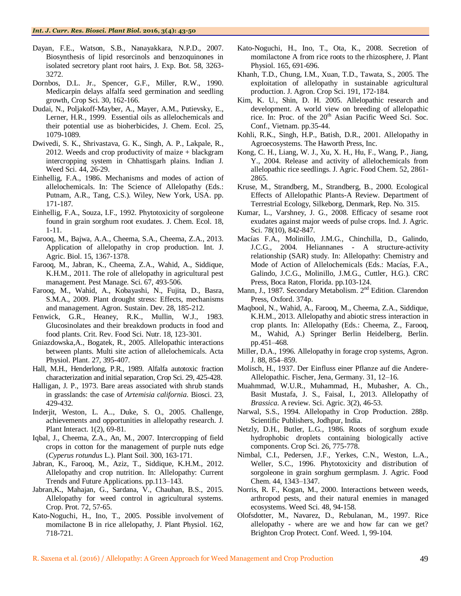- Dayan, F.E., Watson, S.B., Nanayakkara, N.P.D., 2007. Biosynthesis of lipid resorcinols and benzoquinones in isolated secretory plant root hairs, J. Exp. Bot. 58, 3263- 3272.
- Dornbos, D.L. Jr., Spencer, G.F., Miller, R.W., 1990. Medicarpin delays alfalfa seed germination and seedling growth, Crop Sci. 30, 162-166.
- Dudai, N., Poljakoff-Mayber, A., Mayer, A.M., Putievsky, E., Lerner, H.R., 1999. Essential oils as allelochemicals and their potential use as bioherbicides, J. Chem. Ecol. 25, 1079-1089.
- Dwivedi, S. K., Shrivastava, G. K., Singh, A. P., Lakpale, R., 2012. Weeds and crop productivity of maize + blackgram intercropping system in Chhattisgarh plains. Indian J. Weed Sci. 44, 26-29.
- Einhellig, F.A., 1986. Mechanisms and modes of action of allelochemicals. In: The Science of Allelopathy (Eds.: Putnam, A.R., Tang, C.S.). Wiley, New York, USA. pp. 171-187.
- Einhellig, F.A., Souza, I.F., 1992. Phytotoxicity of sorgoleone found in grain sorghum root exudates. J. Chem. Ecol. 18, 1-11.
- Farooq, M., Bajwa, A.A., Cheema, S.A., Cheema, Z.A., 2013. Application of allelopathy in crop production. Int. J. Agric. Biol. 15, 1367-1378.
- Farooq, M., Jabran, K., Cheema, Z.A., Wahid, A., Siddique, K.H.M., 2011. The role of allelopathy in agricultural pest management. Pest Manage. Sci. 67, 493-506.
- Farooq, M., Wahid, A., Kobayashi, N., Fujita, D., Basra, S.M.A., 2009. Plant drought stress: Effects, mechanisms and management. Agron. Sustain. Dev. 28, 185-212.
- Fenwick, G.R., Heaney, R.K., Mullin, W.J., 1983. Glucosinolates and their breakdown products in food and food plants. Crit. Rev. Food Sci. Nutr. 18, 123-301.
- Gniazdowska,A., Bogatek, R., 2005. Allelopathic interactions between plants. Multi site action of allelochemicals. Acta Physiol. Plant. 27, 395-407.
- Hall, M.H., Henderlong, P.R., 1989. Alfalfa autotoxic fraction characterization and initial separation, Crop Sci. 29, 425-428.
- Halligan, J. P., 1973. Bare areas associated with shrub stands in grasslands: the case of *Artemisia california*. Biosci. 23, 429-432.
- Inderjit, Weston, L. A.., Duke, S. O., 2005. Challenge, achievements and opportunities in allelopathy research. J. Plant Interact. 1(2), 69-81.
- Iqbal, J., Cheema, Z.A., An, M., 2007. Intercropping of field crops in cotton for the management of purple nuts edge (*Cyperus rotundus* L.). Plant Soil. 300, 163-171.
- Jabran, K., Farooq, M., Aziz, T., Siddique, K.H.M., 2012. Allelopathy and crop nutrition. In: Allelopathy: Current Trends and Future Applications. pp.113–143.
- Jabran,K., Mahajan, G., Sardana, V., Chauhan, B.S., 2015. Allelopathy for weed control in agricultural systems. Crop. Prot. 72, 57-65.
- Kato-Noguchi, H., Ino, T., 2005. Possible involvement of momilactone B in rice allelopathy, J. Plant Physiol. 162, 718-721.
- Kato-Noguchi, H., Ino, T., Ota, K., 2008. Secretion of momilactone A from rice roots to the rhizosphere, J. Plant Physiol. 165, 691-696.
- Khanh, T.D., Chung, I.M., Xuan, T.D., Tawata, S., 2005. The exploitation of allelopathy in sustainable agricultural production. J. Agron. Crop Sci. 191, 172-184.
- Kim, K. U., Shin, D. H. 2005. Allelopathic research and development. A world view on breeding of allelopathic rice. In: Proc. of the 20<sup>th</sup> Asian Pacific Weed Sci. Soc. Conf., Vietnam. pp.35-44.
- Kohli, R.K., Singh, H.P., Batish, D.R., 2001. Allelopathy in Agroecosystems. The Haworth Press, Inc.
- Kong, C. H., Liang, W. J., Xu, X. H., Hu, F., Wang, P., Jiang, Y., 2004. Release and activity of allelochemicals from allelopathic rice seedlings. J. Agric. Food Chem. 52, 2861- 2865.
- Kruse, M., Strandberg, M., Strandberg, B., 2000. Ecological Effects of Allelopathic Plants-A Review. Department of Terrestrial Ecology, Silkeborg, Denmark, Rep. No. 315.
- Kumar, L., Varshney, J. G., 2008. Efficacy of sesame root exudates against major weeds of pulse crops. Ind. J. Agric. Sci. 78(10), 842-847.
- Macías F.A., Molinillo, J.M.G., Chinchilla, D., Galindo, J.C.G., 2004. Heliannanes - A structure-activity relationship (SAR) study. In: Allelopathy: Chemistry and Mode of Action of Allelochemicals (Eds.: Macías, F.A., Galindo, J.C.G., Molinillo, J.M.G., Cuttler, H.G.). CRC Press, Boca Raton, Florida. pp.103-124.
- Mann, J., 1987. Secondary Metabolism. 2<sup>nd</sup> Edition. Clarendon Press, Oxford. 374p.
- Maqbool, N., Wahid, A., Farooq, M., Cheema, Z.A., Siddique, K.H.M., 2013. Allelopathy and abiotic stress interaction in crop plants. In: Allelopathy (Eds.: Cheema, Z., Farooq, M., Wahid, A.) Springer Berlin Heidelberg, Berlin. pp.451–468.
- Miller, D.A., 1996. Allelopathy in forage crop systems, Agron. J. 88, 854–859.
- Molisch, H., 1937. Der Einfluss einer Pflanze auf die Andere-Allelopathic. Fischer, Jena, Germany. 31, 12–16.
- Muahmmad, W.U.R., Muhammad, H., Mubasher, A. Ch., Basit Mustafa, J. S., Faisal, I., 2013. Allelopathy of *Brassica*. A review. Sci. Agric. 3(2), 46-53.
- Narwal, S.S., 1994. Allelopathy in Crop Production. 288p. Scientific Publishers, Jodhpur, India.
- Netzly, D.H., Butler, L.G., 1986. Roots of sorghum exude hydrophobic droplets containing biologically active components. Crop Sci. 26, 775-778.
- Nimbal, C.I., Pedersen, J.F., Yerkes, C.N., Weston, L.A., Weller, S.C., 1996. Phytotoxicity and distribution of sorgoleone in grain sorghum germplasm. J. Agric. Food Chem. 44, 1343–1347.
- Norris, R. F., Kogan, M., 2000. Interactions between weeds, arthropod pests, and their natural enemies in managed ecosystems. Weed Sci. 48, 94-158.
- Olofsdotter, M., Navarez, D., Rebulanan, M., 1997. Rice allelopathy - where are we and how far can we get? Brighton Crop Protect. Conf. Weed. 1, 99-104.